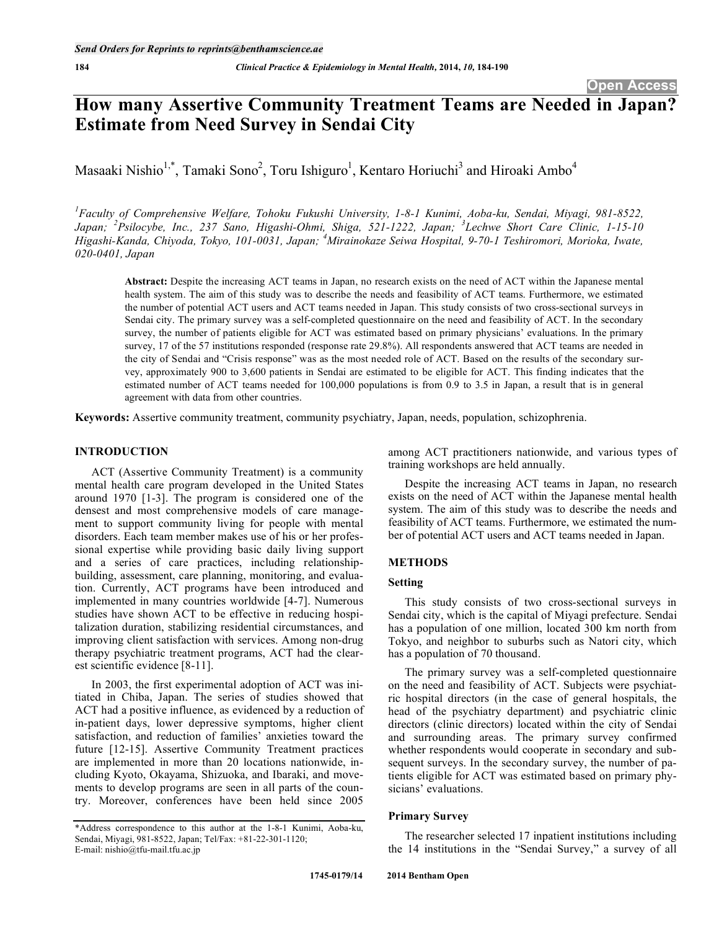# **How many Assertive Community Treatment Teams are Needed in Japan? Estimate from Need Survey in Sendai City**

Masaaki Nishio<sup>1,\*</sup>, Tamaki Sono<sup>2</sup>, Toru Ishiguro<sup>1</sup>, Kentaro Horiuchi<sup>3</sup> and Hiroaki Ambo<sup>4</sup>

*1 Faculty of Comprehensive Welfare, Tohoku Fukushi University, 1-8-1 Kunimi, Aoba-ku, Sendai, Miyagi, 981-8522, Japan; <sup>2</sup> Psilocybe, Inc., 237 Sano, Higashi-Ohmi, Shiga, 521-1222, Japan; <sup>3</sup> Lechwe Short Care Clinic, 1-15-10 Higashi-Kanda, Chiyoda, Tokyo, 101-0031, Japan; <sup>4</sup> Mirainokaze Seiwa Hospital, 9-70-1 Teshiromori, Morioka, Iwate, 020-0401, Japan* 

**Abstract:** Despite the increasing ACT teams in Japan, no research exists on the need of ACT within the Japanese mental health system. The aim of this study was to describe the needs and feasibility of ACT teams. Furthermore, we estimated the number of potential ACT users and ACT teams needed in Japan. This study consists of two cross-sectional surveys in Sendai city. The primary survey was a self-completed questionnaire on the need and feasibility of ACT. In the secondary survey, the number of patients eligible for ACT was estimated based on primary physicians' evaluations. In the primary survey, 17 of the 57 institutions responded (response rate 29.8%). All respondents answered that ACT teams are needed in the city of Sendai and "Crisis response" was as the most needed role of ACT. Based on the results of the secondary survey, approximately 900 to 3,600 patients in Sendai are estimated to be eligible for ACT. This finding indicates that the estimated number of ACT teams needed for 100,000 populations is from 0.9 to 3.5 in Japan, a result that is in general agreement with data from other countries.

**Keywords:** Assertive community treatment, community psychiatry, Japan, needs, population, schizophrenia.

# **INTRODUCTION**

ACT (Assertive Community Treatment) is a community mental health care program developed in the United States around 1970 [1-3]. The program is considered one of the densest and most comprehensive models of care management to support community living for people with mental disorders. Each team member makes use of his or her professional expertise while providing basic daily living support and a series of care practices, including relationshipbuilding, assessment, care planning, monitoring, and evaluation. Currently, ACT programs have been introduced and implemented in many countries worldwide [4-7]. Numerous studies have shown ACT to be effective in reducing hospitalization duration, stabilizing residential circumstances, and improving client satisfaction with services. Among non-drug therapy psychiatric treatment programs, ACT had the clearest scientific evidence [8-11].

In 2003, the first experimental adoption of ACT was initiated in Chiba, Japan. The series of studies showed that ACT had a positive influence, as evidenced by a reduction of in-patient days, lower depressive symptoms, higher client satisfaction, and reduction of families' anxieties toward the future [12-15]. Assertive Community Treatment practices are implemented in more than 20 locations nationwide, including Kyoto, Okayama, Shizuoka, and Ibaraki, and movements to develop programs are seen in all parts of the country. Moreover, conferences have been held since 2005

among ACT practitioners nationwide, and various types of training workshops are held annually.

Despite the increasing ACT teams in Japan, no research exists on the need of ACT within the Japanese mental health system. The aim of this study was to describe the needs and feasibility of ACT teams. Furthermore, we estimated the number of potential ACT users and ACT teams needed in Japan.

# **METHODS**

# **Setting**

This study consists of two cross-sectional surveys in Sendai city, which is the capital of Miyagi prefecture. Sendai has a population of one million, located 300 km north from Tokyo, and neighbor to suburbs such as Natori city, which has a population of 70 thousand.

The primary survey was a self-completed questionnaire on the need and feasibility of ACT. Subjects were psychiatric hospital directors (in the case of general hospitals, the head of the psychiatry department) and psychiatric clinic directors (clinic directors) located within the city of Sendai and surrounding areas. The primary survey confirmed whether respondents would cooperate in secondary and subsequent surveys. In the secondary survey, the number of patients eligible for ACT was estimated based on primary physicians' evaluations.

# **Primary Survey**

The researcher selected 17 inpatient institutions including the 14 institutions in the "Sendai Survey," a survey of all

<sup>\*</sup>Address correspondence to this author at the 1-8-1 Kunimi, Aoba-ku, Sendai, Miyagi, 981-8522, Japan; Tel/Fax: +81-22-301-1120; E-mail: nishio@tfu-mail.tfu.ac.jp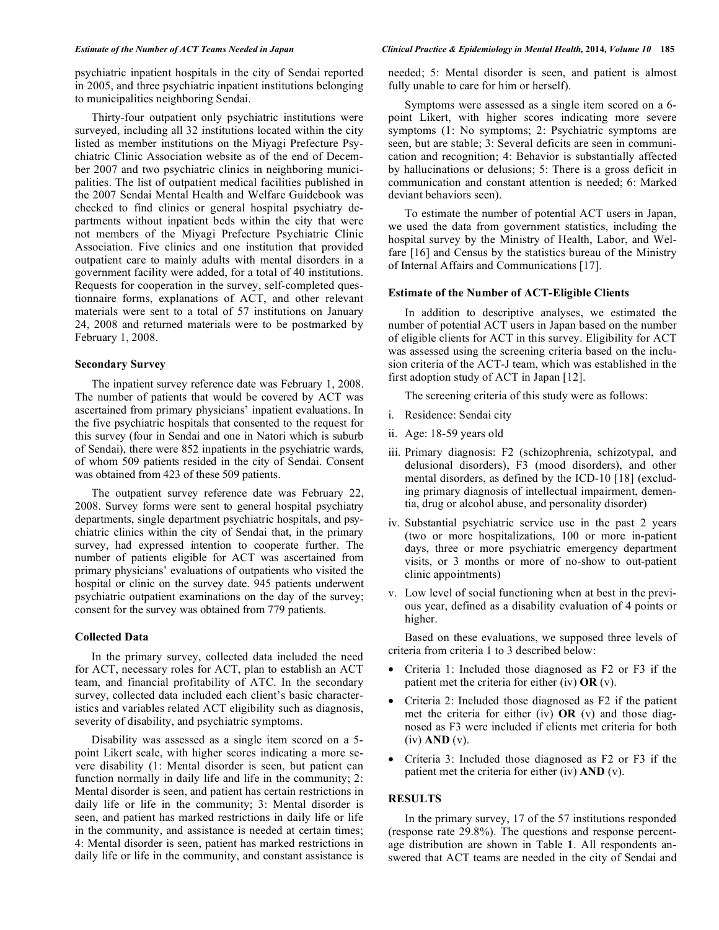psychiatric inpatient hospitals in the city of Sendai reported in 2005, and three psychiatric inpatient institutions belonging to municipalities neighboring Sendai.

Thirty-four outpatient only psychiatric institutions were surveyed, including all 32 institutions located within the city listed as member institutions on the Miyagi Prefecture Psychiatric Clinic Association website as of the end of December 2007 and two psychiatric clinics in neighboring municipalities. The list of outpatient medical facilities published in the 2007 Sendai Mental Health and Welfare Guidebook was checked to find clinics or general hospital psychiatry departments without inpatient beds within the city that were not members of the Miyagi Prefecture Psychiatric Clinic Association. Five clinics and one institution that provided outpatient care to mainly adults with mental disorders in a government facility were added, for a total of 40 institutions. Requests for cooperation in the survey, self-completed questionnaire forms, explanations of ACT, and other relevant materials were sent to a total of 57 institutions on January 24, 2008 and returned materials were to be postmarked by February 1, 2008.

#### **Secondary Survey**

The inpatient survey reference date was February 1, 2008. The number of patients that would be covered by ACT was ascertained from primary physicians' inpatient evaluations. In the five psychiatric hospitals that consented to the request for this survey (four in Sendai and one in Natori which is suburb of Sendai), there were 852 inpatients in the psychiatric wards, of whom 509 patients resided in the city of Sendai. Consent was obtained from 423 of these 509 patients.

The outpatient survey reference date was February 22, 2008. Survey forms were sent to general hospital psychiatry departments, single department psychiatric hospitals, and psychiatric clinics within the city of Sendai that, in the primary survey, had expressed intention to cooperate further. The number of patients eligible for ACT was ascertained from primary physicians' evaluations of outpatients who visited the hospital or clinic on the survey date. 945 patients underwent psychiatric outpatient examinations on the day of the survey; consent for the survey was obtained from 779 patients.

### **Collected Data**

In the primary survey, collected data included the need for ACT, necessary roles for ACT, plan to establish an ACT team, and financial profitability of ATC. In the secondary survey, collected data included each client's basic characteristics and variables related ACT eligibility such as diagnosis, severity of disability, and psychiatric symptoms.

Disability was assessed as a single item scored on a 5 point Likert scale, with higher scores indicating a more severe disability (1: Mental disorder is seen, but patient can function normally in daily life and life in the community; 2: Mental disorder is seen, and patient has certain restrictions in daily life or life in the community; 3: Mental disorder is seen, and patient has marked restrictions in daily life or life in the community, and assistance is needed at certain times; 4: Mental disorder is seen, patient has marked restrictions in daily life or life in the community, and constant assistance is

#### *Estimate of the Number of ACT Teams Needed in Japan Clinical Practice & Epidemiology in Mental Health,* **2014***, Volume 10* **185**

needed; 5: Mental disorder is seen, and patient is almost fully unable to care for him or herself).

Symptoms were assessed as a single item scored on a 6 point Likert, with higher scores indicating more severe symptoms (1: No symptoms; 2: Psychiatric symptoms are seen, but are stable; 3: Several deficits are seen in communication and recognition; 4: Behavior is substantially affected by hallucinations or delusions; 5: There is a gross deficit in communication and constant attention is needed; 6: Marked deviant behaviors seen).

To estimate the number of potential ACT users in Japan, we used the data from government statistics, including the hospital survey by the Ministry of Health, Labor, and Welfare [16] and Census by the statistics bureau of the Ministry of Internal Affairs and Communications [17].

### **Estimate of the Number of ACT-Eligible Clients**

In addition to descriptive analyses, we estimated the number of potential ACT users in Japan based on the number of eligible clients for ACT in this survey. Eligibility for ACT was assessed using the screening criteria based on the inclusion criteria of the ACT-J team, which was established in the first adoption study of ACT in Japan [12].

The screening criteria of this study were as follows:

- i. Residence: Sendai city
- ii. Age: 18-59 years old
- iii. Primary diagnosis: F2 (schizophrenia, schizotypal, and delusional disorders), F3 (mood disorders), and other mental disorders, as defined by the ICD-10 [18] (excluding primary diagnosis of intellectual impairment, dementia, drug or alcohol abuse, and personality disorder)
- iv. Substantial psychiatric service use in the past 2 years (two or more hospitalizations, 100 or more in-patient days, three or more psychiatric emergency department visits, or 3 months or more of no-show to out-patient clinic appointments)
- v. Low level of social functioning when at best in the previous year, defined as a disability evaluation of 4 points or higher.

Based on these evaluations, we supposed three levels of criteria from criteria 1 to 3 described below:

- Criteria 1: Included those diagnosed as F2 or F3 if the patient met the criteria for either (iv) **OR** (v).
- Criteria 2: Included those diagnosed as F2 if the patient met the criteria for either (iv) **OR** (v) and those diagnosed as F3 were included if clients met criteria for both (iv) **AND** (v).
- Criteria 3: Included those diagnosed as F2 or F3 if the patient met the criteria for either (iv) **AND** (v).

### **RESULTS**

In the primary survey, 17 of the 57 institutions responded (response rate 29.8%). The questions and response percentage distribution are shown in Table **1**. All respondents answered that ACT teams are needed in the city of Sendai and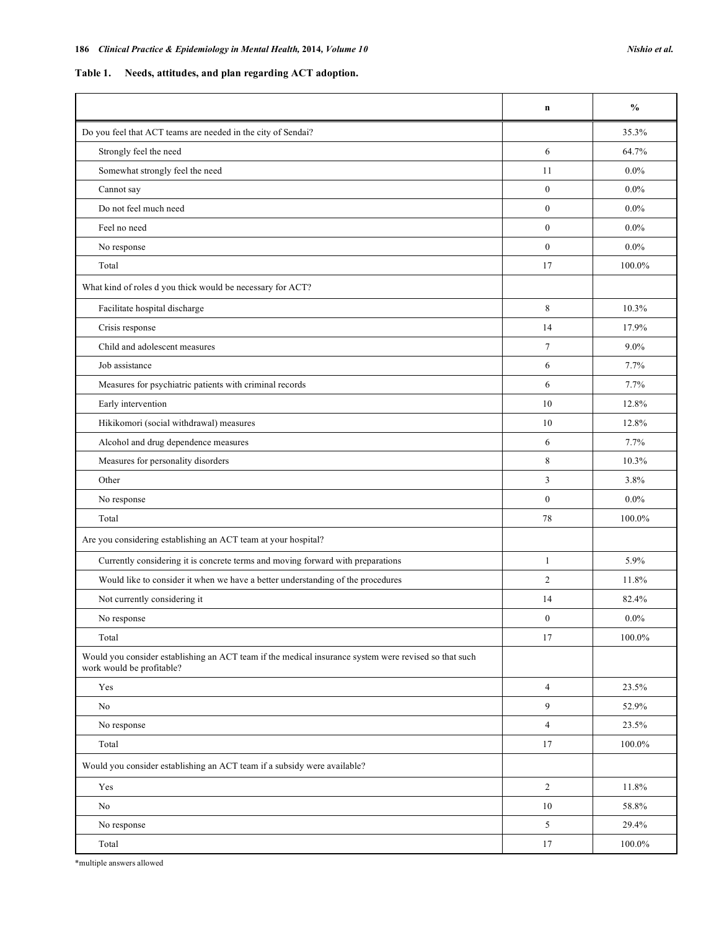**Table 1. Needs, attitudes, and plan regarding ACT adoption.** 

|                                                                                                                                    | $\mathbf n$    | $\frac{0}{0}$ |
|------------------------------------------------------------------------------------------------------------------------------------|----------------|---------------|
| Do you feel that ACT teams are needed in the city of Sendai?                                                                       |                | 35.3%         |
| Strongly feel the need                                                                                                             | 6              | 64.7%         |
| Somewhat strongly feel the need                                                                                                    | 11             | $0.0\%$       |
| Cannot say                                                                                                                         | $\mathbf{0}$   | $0.0\%$       |
| Do not feel much need                                                                                                              | $\mathbf{0}$   | $0.0\%$       |
| Feel no need                                                                                                                       | $\mathbf{0}$   | $0.0\%$       |
| No response                                                                                                                        | $\mathbf{0}$   | $0.0\%$       |
| Total                                                                                                                              | 17             | 100.0%        |
| What kind of roles d you thick would be necessary for ACT?                                                                         |                |               |
| Facilitate hospital discharge                                                                                                      | 8              | 10.3%         |
| Crisis response                                                                                                                    | 14             | 17.9%         |
| Child and adolescent measures                                                                                                      | $\tau$         | $9.0\%$       |
| Job assistance                                                                                                                     | 6              | 7.7%          |
| Measures for psychiatric patients with criminal records                                                                            | 6              | 7.7%          |
| Early intervention                                                                                                                 | 10             | 12.8%         |
| Hikikomori (social withdrawal) measures                                                                                            | 10             | 12.8%         |
| Alcohol and drug dependence measures                                                                                               | 6              | 7.7%          |
| Measures for personality disorders                                                                                                 | 8              | 10.3%         |
| Other                                                                                                                              | 3              | 3.8%          |
| No response                                                                                                                        | $\mathbf{0}$   | $0.0\%$       |
| Total                                                                                                                              | 78             | 100.0%        |
| Are you considering establishing an ACT team at your hospital?                                                                     |                |               |
| Currently considering it is concrete terms and moving forward with preparations                                                    | $\mathbf{1}$   | 5.9%          |
| Would like to consider it when we have a better understanding of the procedures                                                    | $\overline{c}$ | 11.8%         |
| Not currently considering it                                                                                                       | 14             | 82.4%         |
| No response                                                                                                                        | $\mathbf{0}$   | $0.0\%$       |
| Total                                                                                                                              | 17             | $100.0\%$     |
| Would you consider establishing an ACT team if the medical insurance system were revised so that such<br>work would be profitable? |                |               |
| Yes                                                                                                                                | $\overline{4}$ | 23.5%         |
| $\rm No$                                                                                                                           | 9              | 52.9%         |
| No response                                                                                                                        | $\sqrt{4}$     | 23.5%         |
| Total                                                                                                                              | 17             | 100.0%        |
| Would you consider establishing an ACT team if a subsidy were available?                                                           |                |               |
| Yes                                                                                                                                | $\overline{c}$ | 11.8%         |
| No                                                                                                                                 | 10             | 58.8%         |
| No response                                                                                                                        | 5              | 29.4%         |
| Total                                                                                                                              | 17             | $100.0\%$     |

\*multiple answers allowed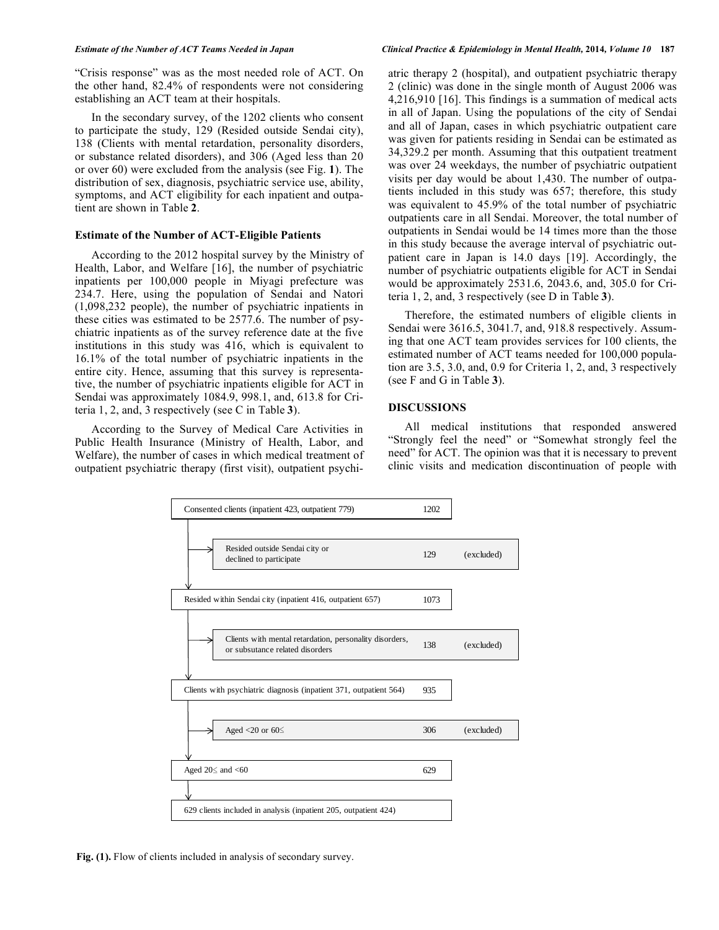"Crisis response" was as the most needed role of ACT. On the other hand, 82.4% of respondents were not considering establishing an ACT team at their hospitals.

In the secondary survey, of the 1202 clients who consent to participate the study, 129 (Resided outside Sendai city), 138 (Clients with mental retardation, personality disorders, or substance related disorders), and 306 (Aged less than 20 or over 60) were excluded from the analysis (see Fig. **1**). The distribution of sex, diagnosis, psychiatric service use, ability, symptoms, and ACT eligibility for each inpatient and outpatient are shown in Table **2**.

### **Estimate of the Number of ACT-Eligible Patients**

According to the 2012 hospital survey by the Ministry of Health, Labor, and Welfare [16], the number of psychiatric inpatients per 100,000 people in Miyagi prefecture was 234.7. Here, using the population of Sendai and Natori (1,098,232 people), the number of psychiatric inpatients in these cities was estimated to be 2577.6. The number of psychiatric inpatients as of the survey reference date at the five institutions in this study was 416, which is equivalent to 16.1% of the total number of psychiatric inpatients in the entire city. Hence, assuming that this survey is representative, the number of psychiatric inpatients eligible for ACT in Sendai was approximately 1084.9, 998.1, and, 613.8 for Criteria 1, 2, and, 3 respectively (see C in Table **3**).

According to the Survey of Medical Care Activities in Public Health Insurance (Ministry of Health, Labor, and Welfare), the number of cases in which medical treatment of outpatient psychiatric therapy (first visit), outpatient psychi-

#### *Estimate of the Number of ACT Teams Needed in Japan Clinical Practice & Epidemiology in Mental Health,* **2014***, Volume 10* **187**

atric therapy 2 (hospital), and outpatient psychiatric therapy 2 (clinic) was done in the single month of August 2006 was 4,216,910 [16]. This findings is a summation of medical acts in all of Japan. Using the populations of the city of Sendai and all of Japan, cases in which psychiatric outpatient care was given for patients residing in Sendai can be estimated as 34,329.2 per month. Assuming that this outpatient treatment was over 24 weekdays, the number of psychiatric outpatient visits per day would be about 1,430. The number of outpatients included in this study was 657; therefore, this study was equivalent to 45.9% of the total number of psychiatric outpatients care in all Sendai. Moreover, the total number of outpatients in Sendai would be 14 times more than the those in this study because the average interval of psychiatric outpatient care in Japan is 14.0 days [19]. Accordingly, the number of psychiatric outpatients eligible for ACT in Sendai would be approximately 2531.6, 2043.6, and, 305.0 for Criteria 1, 2, and, 3 respectively (see D in Table **3**).

Therefore, the estimated numbers of eligible clients in Sendai were 3616.5, 3041.7, and, 918.8 respectively. Assuming that one ACT team provides services for 100 clients, the estimated number of ACT teams needed for 100,000 population are 3.5, 3.0, and, 0.9 for Criteria 1, 2, and, 3 respectively (see F and G in Table **3**).

# **DISCUSSIONS**

All medical institutions that responded answered "Strongly feel the need" or "Somewhat strongly feel the need" for ACT. The opinion was that it is necessary to prevent clinic visits and medication discontinuation of people with



Fig. (1). Flow of clients included in analysis of secondary survey.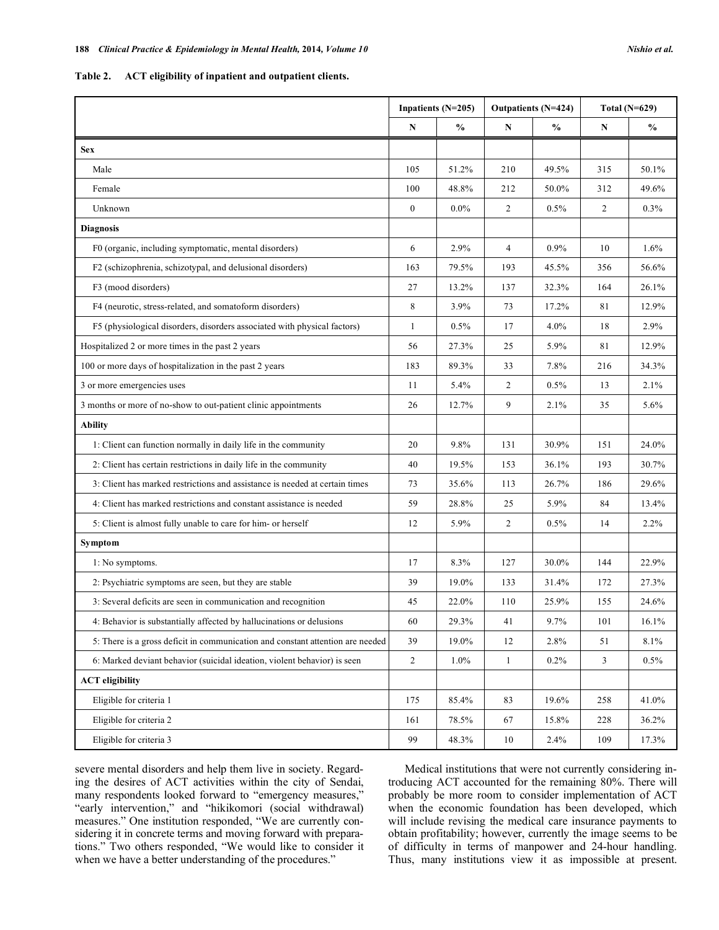**Table 2. ACT eligibility of inpatient and outpatient clients.** 

|                                                                                | Inpatients (N=205) |               | Outpatients (N=424) |               | Total $(N=629)$ |               |
|--------------------------------------------------------------------------------|--------------------|---------------|---------------------|---------------|-----------------|---------------|
|                                                                                | N                  | $\frac{0}{0}$ | N                   | $\frac{0}{0}$ | N               | $\frac{0}{0}$ |
| <b>Sex</b>                                                                     |                    |               |                     |               |                 |               |
| Male                                                                           | 105                | 51.2%         | 210                 | 49.5%         | 315             | 50.1%         |
| Female                                                                         | 100                | 48.8%         | 212                 | 50.0%         | 312             | 49.6%         |
| Unknown                                                                        | $\boldsymbol{0}$   | $0.0\%$       | 2                   | 0.5%          | 2               | 0.3%          |
| <b>Diagnosis</b>                                                               |                    |               |                     |               |                 |               |
| F0 (organic, including symptomatic, mental disorders)                          | 6                  | 2.9%          | $\overline{4}$      | 0.9%          | 10              | 1.6%          |
| F2 (schizophrenia, schizotypal, and delusional disorders)                      | 163                | 79.5%         | 193                 | 45.5%         | 356             | 56.6%         |
| F3 (mood disorders)                                                            | 27                 | 13.2%         | 137                 | 32.3%         | 164             | 26.1%         |
| F4 (neurotic, stress-related, and somatoform disorders)                        | 8                  | 3.9%          | 73                  | 17.2%         | 81              | 12.9%         |
| F5 (physiological disorders, disorders associated with physical factors)       | $\mathbf{1}$       | 0.5%          | 17                  | 4.0%          | 18              | 2.9%          |
| Hospitalized 2 or more times in the past 2 years                               | 56                 | 27.3%         | 25                  | 5.9%          | 81              | 12.9%         |
| 100 or more days of hospitalization in the past 2 years                        | 183                | 89.3%         | 33                  | 7.8%          | 216             | 34.3%         |
| 3 or more emergencies uses                                                     | 11                 | 5.4%          | 2                   | 0.5%          | 13              | 2.1%          |
| 3 months or more of no-show to out-patient clinic appointments                 | 26                 | 12.7%         | 9                   | 2.1%          | 35              | 5.6%          |
| <b>Ability</b>                                                                 |                    |               |                     |               |                 |               |
| 1: Client can function normally in daily life in the community                 | 20                 | 9.8%          | 131                 | 30.9%         | 151             | 24.0%         |
| 2: Client has certain restrictions in daily life in the community              | 40                 | 19.5%         | 153                 | 36.1%         | 193             | 30.7%         |
| 3: Client has marked restrictions and assistance is needed at certain times    | 73                 | 35.6%         | 113                 | 26.7%         | 186             | 29.6%         |
| 4: Client has marked restrictions and constant assistance is needed            | 59                 | 28.8%         | 25                  | 5.9%          | 84              | 13.4%         |
| 5: Client is almost fully unable to care for him- or herself                   | 12                 | 5.9%          | 2                   | 0.5%          | 14              | 2.2%          |
| Symptom                                                                        |                    |               |                     |               |                 |               |
| 1: No symptoms.                                                                | 17                 | 8.3%          | 127                 | 30.0%         | 144             | 22.9%         |
| 2: Psychiatric symptoms are seen, but they are stable                          | 39                 | 19.0%         | 133                 | 31.4%         | 172             | 27.3%         |
| 3: Several deficits are seen in communication and recognition                  | 45                 | 22.0%         | 110                 | 25.9%         | 155             | 24.6%         |
| 4: Behavior is substantially affected by hallucinations or delusions           | 60                 | 29.3%         | 41                  | 9.7%          | 101             | 16.1%         |
| 5: There is a gross deficit in communication and constant attention are needed | 39                 | 19.0%         | 12                  | 2.8%          | 51              | 8.1%          |
| 6: Marked deviant behavior (suicidal ideation, violent behavior) is seen       | $\sqrt{2}$         | $1.0\%$       | $\mathbf{1}$        | 0.2%          | 3               | 0.5%          |
| <b>ACT</b> eligibility                                                         |                    |               |                     |               |                 |               |
| Eligible for criteria 1                                                        | 175                | 85.4%         | 83                  | 19.6%         | 258             | 41.0%         |
| Eligible for criteria 2                                                        | 161                | 78.5%         | 67                  | 15.8%         | 228             | 36.2%         |
| Eligible for criteria 3                                                        | 99                 | 48.3%         | 10                  | 2.4%          | 109             | 17.3%         |

severe mental disorders and help them live in society. Regarding the desires of ACT activities within the city of Sendai, many respondents looked forward to "emergency measures," "early intervention," and "hikikomori (social withdrawal) measures." One institution responded, "We are currently considering it in concrete terms and moving forward with preparations." Two others responded, "We would like to consider it when we have a better understanding of the procedures."

Medical institutions that were not currently considering introducing ACT accounted for the remaining 80%. There will probably be more room to consider implementation of ACT when the economic foundation has been developed, which will include revising the medical care insurance payments to obtain profitability; however, currently the image seems to be of difficulty in terms of manpower and 24-hour handling. Thus, many institutions view it as impossible at present.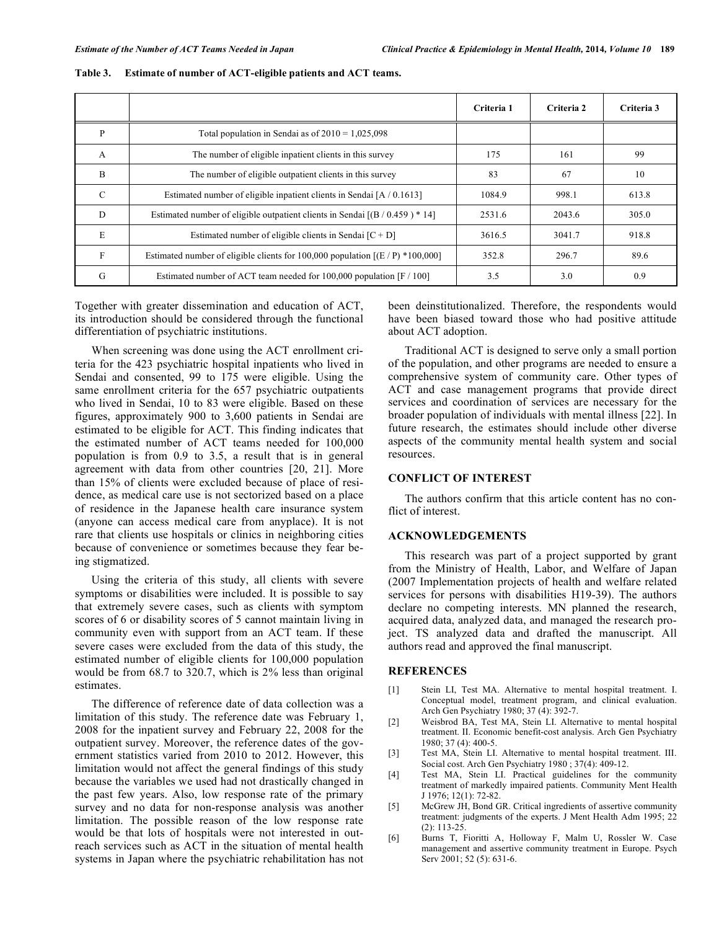|               |                                                                                 | Criteria 1 | Criteria 2 | Criteria 3 |
|---------------|---------------------------------------------------------------------------------|------------|------------|------------|
| P             | Total population in Sendai as of $2010 = 1,025,098$                             |            |            |            |
| A             | The number of eligible inpatient clients in this survey                         | 175        | 161        | 99         |
| B             | The number of eligible outpatient clients in this survey                        | 83         | 67         | 10         |
| $\mathcal{C}$ | Estimated number of eligible inpatient clients in Sendai [A / 0.1613]           | 1084.9     | 998.1      | 613.8      |
| D             | Estimated number of eligible outpatient clients in Sendai $[(B / 0.459) * 14]$  | 2531.6     | 2043.6     | 305.0      |
| E             | Estimated number of eligible clients in Sendai $[C + D]$                        | 3616.5     | 3041.7     | 918.8      |
| $\mathbf{F}$  | Estimated number of eligible clients for 100,000 population $[(E/P) * 100,000]$ | 352.8      | 296.7      | 89.6       |
| G             | Estimated number of ACT team needed for $100,000$ population [F $/ 100$ ]       | 3.5        | 3.0        | 0.9        |

# **Table 3. Estimate of number of ACT-eligible patients and ACT teams.**

Together with greater dissemination and education of ACT, its introduction should be considered through the functional differentiation of psychiatric institutions.

When screening was done using the ACT enrollment criteria for the 423 psychiatric hospital inpatients who lived in Sendai and consented, 99 to 175 were eligible. Using the same enrollment criteria for the 657 psychiatric outpatients who lived in Sendai, 10 to 83 were eligible. Based on these figures, approximately 900 to 3,600 patients in Sendai are estimated to be eligible for ACT. This finding indicates that the estimated number of ACT teams needed for 100,000 population is from 0.9 to 3.5, a result that is in general agreement with data from other countries [20, 21]. More than 15% of clients were excluded because of place of residence, as medical care use is not sectorized based on a place of residence in the Japanese health care insurance system (anyone can access medical care from anyplace). It is not rare that clients use hospitals or clinics in neighboring cities because of convenience or sometimes because they fear being stigmatized.

Using the criteria of this study, all clients with severe symptoms or disabilities were included. It is possible to say that extremely severe cases, such as clients with symptom scores of 6 or disability scores of 5 cannot maintain living in community even with support from an ACT team. If these severe cases were excluded from the data of this study, the estimated number of eligible clients for 100,000 population would be from 68.7 to 320.7, which is 2% less than original estimates.

The difference of reference date of data collection was a limitation of this study. The reference date was February 1, 2008 for the inpatient survey and February 22, 2008 for the outpatient survey. Moreover, the reference dates of the government statistics varied from 2010 to 2012. However, this limitation would not affect the general findings of this study because the variables we used had not drastically changed in the past few years. Also, low response rate of the primary survey and no data for non-response analysis was another limitation. The possible reason of the low response rate would be that lots of hospitals were not interested in outreach services such as ACT in the situation of mental health systems in Japan where the psychiatric rehabilitation has not been deinstitutionalized. Therefore, the respondents would have been biased toward those who had positive attitude about ACT adoption.

Traditional ACT is designed to serve only a small portion of the population, and other programs are needed to ensure a comprehensive system of community care. Other types of ACT and case management programs that provide direct services and coordination of services are necessary for the broader population of individuals with mental illness [22]. In future research, the estimates should include other diverse aspects of the community mental health system and social resources.

#### **CONFLICT OF INTEREST**

The authors confirm that this article content has no conflict of interest.

### **ACKNOWLEDGEMENTS**

This research was part of a project supported by grant from the Ministry of Health, Labor, and Welfare of Japan (2007 Implementation projects of health and welfare related services for persons with disabilities H19-39). The authors declare no competing interests. MN planned the research, acquired data, analyzed data, and managed the research project. TS analyzed data and drafted the manuscript. All authors read and approved the final manuscript.

#### **REFERENCES**

- [1] Stein LI, Test MA. Alternative to mental hospital treatment. I. Conceptual model, treatment program, and clinical evaluation. Arch Gen Psychiatry 1980; 37 (4): 392-7.
- [2] Weisbrod BA, Test MA, Stein LI. Alternative to mental hospital treatment. II. Economic benefit-cost analysis. Arch Gen Psychiatry 1980; 37 (4): 400-5.
- [3] Test MA, Stein LI. Alternative to mental hospital treatment. III. Social cost. Arch Gen Psychiatry 1980 ; 37(4): 409-12.
- [4] Test MA, Stein LI. Practical guidelines for the community treatment of markedly impaired patients. Community Ment Health J 1976; 12(1): 72-82.
- [5] McGrew JH, Bond GR. Critical ingredients of assertive community treatment: judgments of the experts. J Ment Health Adm 1995; 22 (2): 113-25.
- [6] Burns T, Fioritti A, Holloway F, Malm U, Rossler W. Case management and assertive community treatment in Europe. Psych Serv 2001; 52 (5): 631-6.